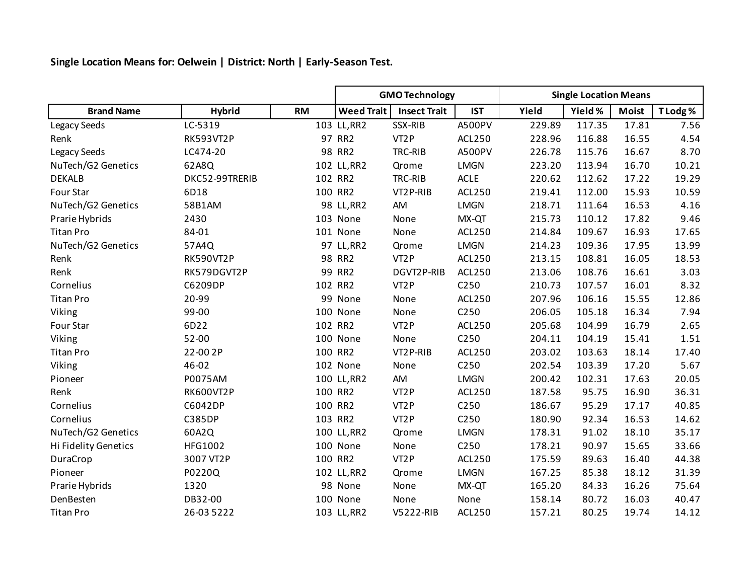**Single Location Means for: Oelwein | District: North | Early-Season Test.**

|                      |                  |           | <b>GMO Technology</b> |                     |                  | <b>Single Location Means</b> |         |              |         |
|----------------------|------------------|-----------|-----------------------|---------------------|------------------|------------------------------|---------|--------------|---------|
| <b>Brand Name</b>    | <b>Hybrid</b>    | <b>RM</b> | <b>Weed Trait</b>     | <b>Insect Trait</b> | <b>IST</b>       | Yield                        | Yield % | <b>Moist</b> | T Lodg% |
| Legacy Seeds         | LC-5319          |           | 103 LL, RR2           | SSX-RIB             | A500PV           | 229.89                       | 117.35  | 17.81        | 7.56    |
| Renk                 | <b>RK593VT2P</b> |           | 97 RR2                | VT <sub>2</sub> P   | ACL250           | 228.96                       | 116.88  | 16.55        | 4.54    |
| Legacy Seeds         | LC474-20         |           | 98 RR2                | TRC-RIB             | A500PV           | 226.78                       | 115.76  | 16.67        | 8.70    |
| NuTech/G2 Genetics   | 62A8Q            |           | 102 LL, RR2           | Qrome               | <b>LMGN</b>      | 223.20                       | 113.94  | 16.70        | 10.21   |
| <b>DEKALB</b>        | DKC52-99TRERIB   |           | 102 RR2               | TRC-RIB             | <b>ACLE</b>      | 220.62                       | 112.62  | 17.22        | 19.29   |
| Four Star            | 6D18             |           | 100 RR2               | VT2P-RIB            | ACL250           | 219.41                       | 112.00  | 15.93        | 10.59   |
| NuTech/G2 Genetics   | 58B1AM           |           | 98 LL, RR2            | AM                  | <b>LMGN</b>      | 218.71                       | 111.64  | 16.53        | 4.16    |
| Prarie Hybrids       | 2430             |           | 103 None              | None                | MX-QT            | 215.73                       | 110.12  | 17.82        | 9.46    |
| <b>Titan Pro</b>     | 84-01            |           | 101 None              | None                | <b>ACL250</b>    | 214.84                       | 109.67  | 16.93        | 17.65   |
| NuTech/G2 Genetics   | 57A4Q            |           | 97 LL, RR2            | Qrome               | <b>LMGN</b>      | 214.23                       | 109.36  | 17.95        | 13.99   |
| Renk                 | <b>RK590VT2P</b> |           | 98 RR2                | VT <sub>2</sub> P   | ACL250           | 213.15                       | 108.81  | 16.05        | 18.53   |
| Renk                 | RK579DGVT2P      |           | 99 RR2                | DGVT2P-RIB          | ACL250           | 213.06                       | 108.76  | 16.61        | 3.03    |
| Cornelius            | C6209DP          |           | 102 RR2               | VT <sub>2</sub> P   | C250             | 210.73                       | 107.57  | 16.01        | 8.32    |
| <b>Titan Pro</b>     | 20-99            |           | 99 None               | None                | <b>ACL250</b>    | 207.96                       | 106.16  | 15.55        | 12.86   |
| Viking               | 99-00            |           | 100 None              | None                | C <sub>250</sub> | 206.05                       | 105.18  | 16.34        | 7.94    |
| Four Star            | 6D22             |           | 102 RR2               | VT <sub>2</sub> P   | <b>ACL250</b>    | 205.68                       | 104.99  | 16.79        | 2.65    |
| Viking               | 52-00            |           | 100 None              | None                | C250             | 204.11                       | 104.19  | 15.41        | 1.51    |
| <b>Titan Pro</b>     | 22-00 2P         |           | 100 RR2               | VT2P-RIB            | ACL250           | 203.02                       | 103.63  | 18.14        | 17.40   |
| Viking               | 46-02            |           | 102 None              | None                | C250             | 202.54                       | 103.39  | 17.20        | 5.67    |
| Pioneer              | P0075AM          |           | 100 LL, RR2           | AM                  | <b>LMGN</b>      | 200.42                       | 102.31  | 17.63        | 20.05   |
| Renk                 | RK600VT2P        |           | 100 RR2               | VT <sub>2</sub> P   | ACL250           | 187.58                       | 95.75   | 16.90        | 36.31   |
| Cornelius            | C6042DP          |           | 100 RR2               | VT <sub>2</sub> P   | C <sub>250</sub> | 186.67                       | 95.29   | 17.17        | 40.85   |
| Cornelius            | <b>C385DP</b>    |           | 103 RR2               | VT <sub>2</sub> P   | C <sub>250</sub> | 180.90                       | 92.34   | 16.53        | 14.62   |
| NuTech/G2 Genetics   | 60A2Q            |           | 100 LL, RR2           | Qrome               | <b>LMGN</b>      | 178.31                       | 91.02   | 18.10        | 35.17   |
| Hi Fidelity Genetics | HFG1002          |           | 100 None              | None                | C <sub>250</sub> | 178.21                       | 90.97   | 15.65        | 33.66   |
| DuraCrop             | 3007 VT2P        |           | 100 RR2               | VT <sub>2</sub> P   | <b>ACL250</b>    | 175.59                       | 89.63   | 16.40        | 44.38   |
| Pioneer              | P0220Q           |           | 102 LL, RR2           | Qrome               | <b>LMGN</b>      | 167.25                       | 85.38   | 18.12        | 31.39   |
| Prarie Hybrids       | 1320             |           | 98 None               | None                | MX-QT            | 165.20                       | 84.33   | 16.26        | 75.64   |
| DenBesten            | DB32-00          |           | 100 None              | None                | None             | 158.14                       | 80.72   | 16.03        | 40.47   |
| <b>Titan Pro</b>     | 26-03 5222       |           | 103 LL, RR2           | V5222-RIB           | <b>ACL250</b>    | 157.21                       | 80.25   | 19.74        | 14.12   |